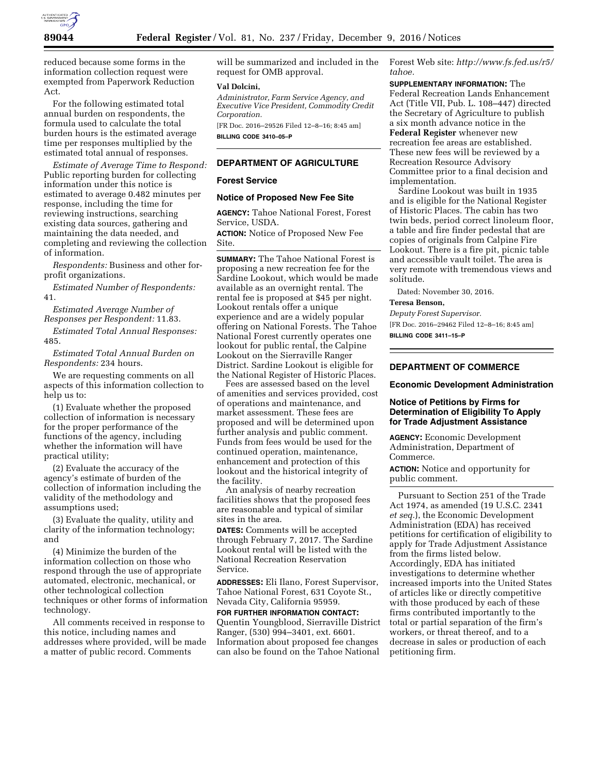

reduced because some forms in the information collection request were exempted from Paperwork Reduction Act.

For the following estimated total annual burden on respondents, the formula used to calculate the total burden hours is the estimated average time per responses multiplied by the estimated total annual of responses.

*Estimate of Average Time to Respond:*  Public reporting burden for collecting information under this notice is estimated to average 0.482 minutes per response, including the time for reviewing instructions, searching existing data sources, gathering and maintaining the data needed, and completing and reviewing the collection of information.

*Respondents:* Business and other forprofit organizations.

*Estimated Number of Respondents:*  41.

*Estimated Average Number of Responses per Respondent:* 11.83.

*Estimated Total Annual Responses:*  485.

*Estimated Total Annual Burden on Respondents:* 234 hours.

We are requesting comments on all aspects of this information collection to help us to:

(1) Evaluate whether the proposed collection of information is necessary for the proper performance of the functions of the agency, including whether the information will have practical utility;

(2) Evaluate the accuracy of the agency's estimate of burden of the collection of information including the validity of the methodology and assumptions used;

(3) Evaluate the quality, utility and clarity of the information technology; and

(4) Minimize the burden of the information collection on those who respond through the use of appropriate automated, electronic, mechanical, or other technological collection techniques or other forms of information technology.

All comments received in response to this notice, including names and addresses where provided, will be made a matter of public record. Comments

will be summarized and included in the request for OMB approval.

#### **Val Dolcini,**

*Administrator, Farm Service Agency, and Executive Vice President, Commodity Credit Corporation.* 

[FR Doc. 2016–29526 Filed 12–8–16; 8:45 am] **BILLING CODE 3410–05–P** 

## **DEPARTMENT OF AGRICULTURE**

### **Forest Service**

### **Notice of Proposed New Fee Site**

**AGENCY:** Tahoe National Forest, Forest Service, USDA.

**ACTION:** Notice of Proposed New Fee Site.

**SUMMARY:** The Tahoe National Forest is proposing a new recreation fee for the Sardine Lookout, which would be made available as an overnight rental. The rental fee is proposed at \$45 per night. Lookout rentals offer a unique experience and are a widely popular offering on National Forests. The Tahoe National Forest currently operates one lookout for public rental, the Calpine Lookout on the Sierraville Ranger District. Sardine Lookout is eligible for the National Register of Historic Places.

Fees are assessed based on the level of amenities and services provided, cost of operations and maintenance, and market assessment. These fees are proposed and will be determined upon further analysis and public comment. Funds from fees would be used for the continued operation, maintenance, enhancement and protection of this lookout and the historical integrity of the facility.

An analysis of nearby recreation facilities shows that the proposed fees are reasonable and typical of similar sites in the area.

**DATES:** Comments will be accepted through February 7, 2017. The Sardine Lookout rental will be listed with the National Recreation Reservation Service.

**ADDRESSES:** Eli Ilano, Forest Supervisor, Tahoe National Forest, 631 Coyote St., Nevada City, California 95959.

**FOR FURTHER INFORMATION CONTACT:**  Quentin Youngblood, Sierraville District Ranger, (530) 994–3401, ext. 6601. Information about proposed fee changes can also be found on the Tahoe National

Forest Web site: *[http://www.fs.fed.us/r5/](http://www.fs.fed.us/r5/tahoe)  [tahoe.](http://www.fs.fed.us/r5/tahoe)* 

**SUPPLEMENTARY INFORMATION:** The Federal Recreation Lands Enhancement Act (Title VII, Pub. L. 108–447) directed the Secretary of Agriculture to publish a six month advance notice in the **Federal Register** whenever new recreation fee areas are established. These new fees will be reviewed by a Recreation Resource Advisory Committee prior to a final decision and implementation.

Sardine Lookout was built in 1935 and is eligible for the National Register of Historic Places. The cabin has two twin beds, period correct linoleum floor, a table and fire finder pedestal that are copies of originals from Calpine Fire Lookout. There is a fire pit, picnic table and accessible vault toilet. The area is very remote with tremendous views and solitude.

Dated: November 30, 2016.

# **Teresa Benson,**

*Deputy Forest Supervisor.* 

[FR Doc. 2016–29462 Filed 12–8–16; 8:45 am] **BILLING CODE 3411–15–P** 

## **DEPARTMENT OF COMMERCE**

**Economic Development Administration** 

## **Notice of Petitions by Firms for Determination of Eligibility To Apply for Trade Adjustment Assistance**

**AGENCY:** Economic Development Administration, Department of Commerce.

**ACTION:** Notice and opportunity for public comment.

Pursuant to Section 251 of the Trade Act 1974, as amended (19 U.S.C. 2341 *et seq.*), the Economic Development Administration (EDA) has received petitions for certification of eligibility to apply for Trade Adjustment Assistance from the firms listed below. Accordingly, EDA has initiated investigations to determine whether increased imports into the United States of articles like or directly competitive with those produced by each of these firms contributed importantly to the total or partial separation of the firm's workers, or threat thereof, and to a decrease in sales or production of each petitioning firm.